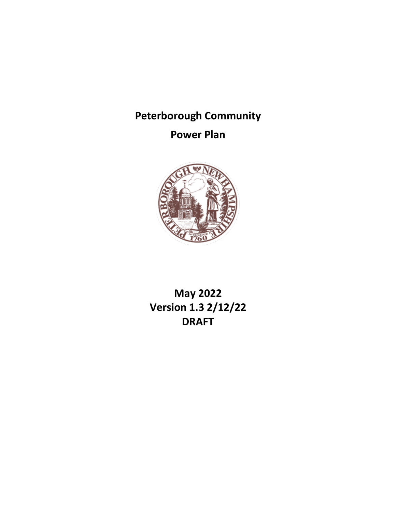# **Peterborough Community**

# **Power Plan**



**May 2022 Version 1.3 2/12/22 DRAFT**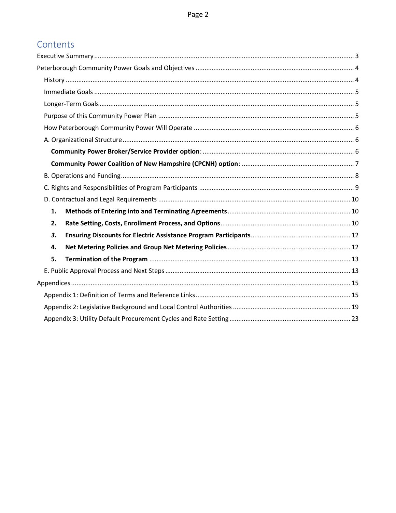# Contents

| 1. |  |
|----|--|
| 2. |  |
| 3. |  |
| 4. |  |
| 5. |  |
|    |  |
|    |  |
|    |  |
|    |  |
|    |  |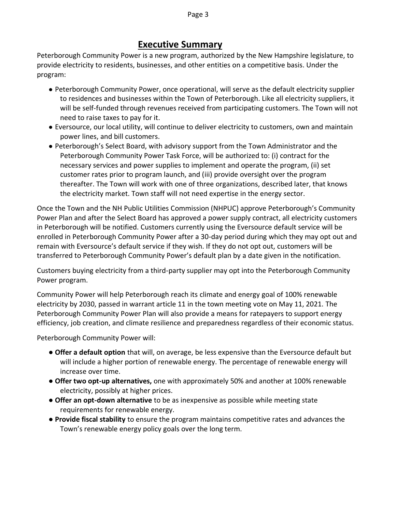#### Page 3

# **Executive Summary**

<span id="page-2-0"></span>Peterborough Community Power is a new program, authorized by the New Hampshire legislature, to provide electricity to residents, businesses, and other entities on a competitive basis. Under the program:

- Peterborough Community Power, once operational, will serve as the default electricity supplier to residences and businesses within the Town of Peterborough. Like all electricity suppliers, it will be self-funded through revenues received from participating customers. The Town will not need to raise taxes to pay for it.
- Eversource, our local utility, will continue to deliver electricity to customers, own and maintain power lines, and bill customers.
- Peterborough's Select Board, with advisory support from the Town Administrator and the Peterborough Community Power Task Force, will be authorized to: (i) contract for the necessary services and power supplies to implement and operate the program, (ii) set customer rates prior to program launch, and (iii) provide oversight over the program thereafter. The Town will work with one of three organizations, described later, that knows the electricity market. Town staff will not need expertise in the energy sector.

Once the Town and the NH Public Utilities Commission (NHPUC) approve Peterborough's Community Power Plan and after the Select Board has approved a power supply contract, all electricity customers in Peterborough will be notified. Customers currently using the Eversource default service will be enrolled in Peterborough Community Power after a 30-day period during which they may opt out and remain with Eversource's default service if they wish. If they do not opt out, customers will be transferred to Peterborough Community Power's default plan by a date given in the notification.

Customers buying electricity from a third-party supplier may opt into the Peterborough Community Power program.

Community Power will help Peterborough reach its climate and energy goal of 100% renewable electricity by 2030, passed in warrant article 11 in the town meeting vote on May 11, 2021. The Peterborough Community Power Plan will also provide a means for ratepayers to support energy efficiency, job creation, and climate resilience and preparedness regardless of their economic status.

Peterborough Community Power will:

- **Offer a default option** that will, on average, be less expensive than the Eversource default but will include a higher portion of renewable energy. The percentage of renewable energy will increase over time.
- **Offer two opt-up alternatives,** one with approximately 50% and another at 100% renewable electricity, possibly at higher prices.
- **Offer an opt-down alternative** to be as inexpensive as possible while meeting state requirements for renewable energy.
- **Provide fiscal stability** to ensure the program maintains competitive rates and advances the Town's renewable energy policy goals over the long term.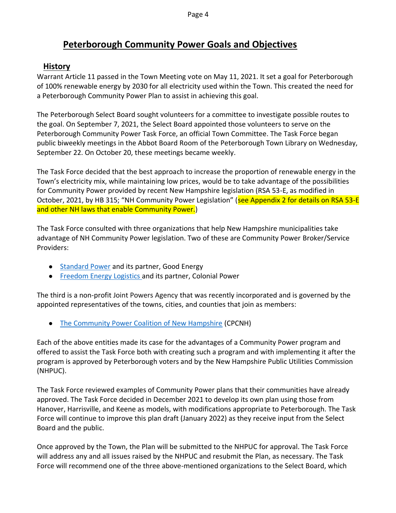# **Peterborough Community Power Goals and Objectives**

# <span id="page-3-1"></span><span id="page-3-0"></span>**History**

Warrant Article 11 passed in the Town Meeting vote on May 11, 2021. It set a goal for Peterborough of 100% renewable energy by 2030 for all electricity used within the Town. This created the need for a Peterborough Community Power Plan to assist in achieving this goal.

The Peterborough Select Board sought volunteers for a committee to investigate possible routes to the goal. On September 7, 2021, the Select Board appointed those volunteers to serve on the Peterborough Community Power Task Force, an official Town Committee. The Task Force began public biweekly meetings in the Abbot Board Room of the Peterborough Town Library on Wednesday, September 22. On October 20, these meetings became weekly.

The Task Force decided that the best approach to increase the proportion of renewable energy in the Town's electricity mix, while maintaining low prices, would be to take advantage of the possibilities for Community Power provided by recent New Hampshire legislation (RSA 53-E, as modified in October, 2021, by HB 315; "NH Community Power Legislation" (see Appendix 2 for details on RSA 53-E and other NH laws that enable Community Power.)

The Task Force consulted with three organizations that help New Hampshire municipalities take advantage of NH Community Power legislation. Two of these are Community Power Broker/Service Providers:

- [Standard Power](about:blank) and its partner, Good Energy
- [Freedom Energy Logistics a](about:blank)nd its partner, Colonial Power

The third is a non-profit Joint Powers Agency that was recently incorporated and is governed by the appointed representatives of the towns, cities, and counties that join as members:

● [The Community Power Coalition of New Hampshire](about:blank) (CPCNH)

Each of the above entities made its case for the advantages of a Community Power program and offered to assist the Task Force both with creating such a program and with implementing it after the program is approved by Peterborough voters and by the New Hampshire Public Utilities Commission (NHPUC).

The Task Force reviewed examples of Community Power plans that their communities have already approved. The Task Force decided in December 2021 to develop its own plan using those from Hanover, Harrisville, and Keene as models, with modifications appropriate to Peterborough. The Task Force will continue to improve this plan draft (January 2022) as they receive input from the Select Board and the public.

Once approved by the Town, the Plan will be submitted to the NHPUC for approval. The Task Force will address any and all issues raised by the NHPUC and resubmit the Plan, as necessary. The Task Force will recommend one of the three above-mentioned organizations to the Select Board, which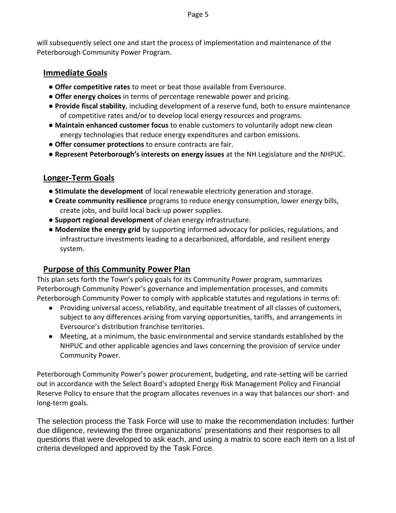will subsequently select one and start the process of implementation and maintenance of the Peterborough Community Power Program.

## <span id="page-4-0"></span>**Immediate Goals**

- **Offer competitive rates** to meet or beat those available from Eversource.
- **Offer energy choices** in terms of percentage renewable power and pricing.
- **Provide fiscal stability**, including development of a reserve fund, both to ensure maintenance of competitive rates and/or to develop local energy resources and programs.
- **Maintain enhanced customer focus** to enable customers to voluntarily adopt new clean energy technologies that reduce energy expenditures and carbon emissions.
- **Offer consumer protections** to ensure contracts are fair.
- **Represent Peterborough's interests on energy issues** at the NH Legislature and the NHPUC.

# <span id="page-4-1"></span>**Longer-Term Goals**

- **Stimulate the development** of local renewable electricity generation and storage.
- **Create community resilience** programs to reduce energy consumption, lower energy bills, create jobs, and build local back-up power supplies.
- **Support regional development** of clean energy infrastructure.
- **Modernize the energy grid** by supporting informed advocacy for policies, regulations, and infrastructure investments leading to a decarbonized, affordable, and resilient energy system.

# <span id="page-4-2"></span>**Purpose of this Community Power Plan**

This plan sets forth the Town's policy goals for its Community Power program, summarizes Peterborough Community Power's governance and implementation processes, and commits Peterborough Community Power to comply with applicable statutes and regulations in terms of:

- Providing universal access, reliability, and equitable treatment of all classes of customers, subject to any differences arising from varying opportunities, tariffs, and arrangements in Eversource's distribution franchise territories.
- Meeting, at a minimum, the basic environmental and service standards established by the NHPUC and other applicable agencies and laws concerning the provision of service under Community Power.

Peterborough Community Power's power procurement, budgeting, and rate-setting will be carried out in accordance with the Select Board's adopted Energy Risk Management Policy and Financial Reserve Policy to ensure that the program allocates revenues in a way that balances our short- and long-term goals.

The selection process the Task Force will use to make the recommendation includes: further due diligence, reviewing the three organizations' presentations and their responses to all questions that were developed to ask each, and using a matrix to score each item on a list of criteria developed and approved by the Task Force.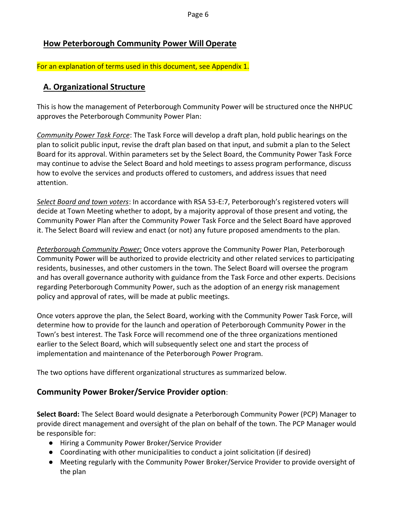# <span id="page-5-0"></span>**How Peterborough Community Power Will Operate**

For an explanation of terms used in this document, see Appendix 1.

# <span id="page-5-1"></span>**A. Organizational Structure**

This is how the management of Peterborough Community Power will be structured once the NHPUC approves the Peterborough Community Power Plan:

*Community Power Task Force*: The Task Force will develop a draft plan, hold public hearings on the plan to solicit public input, revise the draft plan based on that input, and submit a plan to the Select Board for its approval. Within parameters set by the Select Board, the Community Power Task Force may continue to advise the Select Board and hold meetings to assess program performance, discuss how to evolve the services and products offered to customers, and address issues that need attention.

*Select Board and town voters*: In accordance with RSA 53-E:7, Peterborough's registered voters will decide at Town Meeting whether to adopt, by a majority approval of those present and voting, the Community Power Plan after the Community Power Task Force and the Select Board have approved it. The Select Board will review and enact (or not) any future proposed amendments to the plan.

*Peterborough Community Power:* Once voters approve the Community Power Plan, Peterborough Community Power will be authorized to provide electricity and other related services to participating residents, businesses, and other customers in the town. The Select Board will oversee the program and has overall governance authority with guidance from the Task Force and other experts. Decisions regarding Peterborough Community Power, such as the adoption of an energy risk management policy and approval of rates, will be made at public meetings.

Once voters approve the plan, the Select Board, working with the Community Power Task Force, will determine how to provide for the launch and operation of Peterborough Community Power in the Town's best interest. The Task Force will recommend one of the three organizations mentioned earlier to the Select Board, which will subsequently select one and start the process of implementation and maintenance of the Peterborough Power Program.

<span id="page-5-2"></span>The two options have different organizational structures as summarized below.

# **Community Power Broker/Service Provider option**:

**Select Board:** The Select Board would designate a Peterborough Community Power (PCP) Manager to provide direct management and oversight of the plan on behalf of the town. The PCP Manager would be responsible for:

- Hiring a Community Power Broker/Service Provider
- Coordinating with other municipalities to conduct a joint solicitation (if desired)
- Meeting regularly with the Community Power Broker/Service Provider to provide oversight of the plan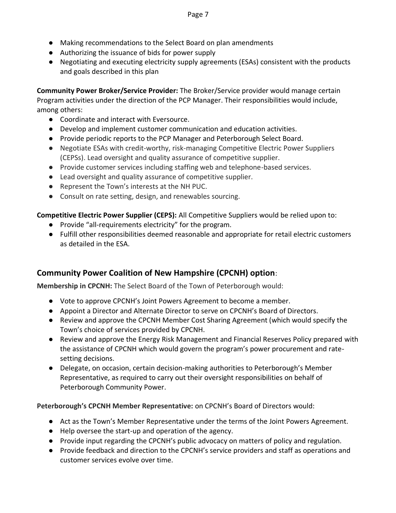- Making recommendations to the Select Board on plan amendments
- Authorizing the issuance of bids for power supply
- Negotiating and executing electricity supply agreements (ESAs) consistent with the products and goals described in this plan

**Community Power Broker/Service Provider:** The Broker/Service provider would manage certain Program activities under the direction of the PCP Manager. Their responsibilities would include, among others:

- Coordinate and interact with Eversource.
- Develop and implement customer communication and education activities.
- Provide periodic reports to the PCP Manager and Peterborough Select Board.
- Negotiate ESAs with credit-worthy, risk-managing Competitive Electric Power Suppliers (CEPSs). Lead oversight and quality assurance of competitive supplier.
- Provide customer services including staffing web and telephone-based services.
- Lead oversight and quality assurance of competitive supplier.
- Represent the Town's interests at the NH PUC.
- Consult on rate setting, design, and renewables sourcing.

**Competitive Electric Power Supplier (CEPS):** All Competitive Suppliers would be relied upon to:

- Provide "all-requirements electricity" for the program.
- Fulfill other responsibilities deemed reasonable and appropriate for retail electric customers as detailed in the ESA.

# <span id="page-6-0"></span>**Community Power Coalition of New Hampshire (CPCNH) option**:

**Membership in CPCNH:** The Select Board of the Town of Peterborough would:

- Vote to approve CPCNH's Joint Powers Agreement to become a member.
- Appoint a Director and Alternate Director to serve on CPCNH's Board of Directors.
- Review and approve the CPCNH Member Cost Sharing Agreement (which would specify the Town's choice of services provided by CPCNH.
- Review and approve the Energy Risk Management and Financial Reserves Policy prepared with the assistance of CPCNH which would govern the program's power procurement and ratesetting decisions.
- Delegate, on occasion, certain decision-making authorities to Peterborough's Member Representative, as required to carry out their oversight responsibilities on behalf of Peterborough Community Power.

**Peterborough's CPCNH Member Representative:** on CPCNH's Board of Directors would:

- Act as the Town's Member Representative under the terms of the Joint Powers Agreement.
- Help oversee the start-up and operation of the agency.
- Provide input regarding the CPCNH's public advocacy on matters of policy and regulation.
- Provide feedback and direction to the CPCNH's service providers and staff as operations and customer services evolve over time.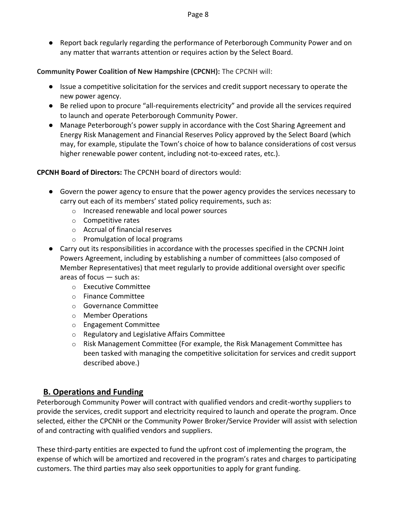● Report back regularly regarding the performance of Peterborough Community Power and on any matter that warrants attention or requires action by the Select Board.

#### **Community Power Coalition of New Hampshire (CPCNH):** The CPCNH will:

- Issue a competitive solicitation for the services and credit support necessary to operate the new power agency.
- Be relied upon to procure "all-requirements electricity" and provide all the services required to launch and operate Peterborough Community Power.
- Manage Peterborough's power supply in accordance with the Cost Sharing Agreement and Energy Risk Management and Financial Reserves Policy approved by the Select Board (which may, for example, stipulate the Town's choice of how to balance considerations of cost versus higher renewable power content, including not-to-exceed rates, etc.).

#### **CPCNH Board of Directors:** The CPCNH board of directors would:

- Govern the power agency to ensure that the power agency provides the services necessary to carry out each of its members' stated policy requirements, such as:
	- o Increased renewable and local power sources
	- o Competitive rates
	- o Accrual of financial reserves
	- o Promulgation of local programs
- Carry out its responsibilities in accordance with the processes specified in the CPCNH Joint Powers Agreement, including by establishing a number of committees (also composed of Member Representatives) that meet regularly to provide additional oversight over specific areas of focus — such as:
	- o Executive Committee
	- o Finance Committee
	- o Governance Committee
	- o Member Operations
	- o Engagement Committee
	- o Regulatory and Legislative Affairs Committee
	- o Risk Management Committee (For example, the Risk Management Committee has been tasked with managing the competitive solicitation for services and credit support described above.)

## <span id="page-7-0"></span>**B. Operations and Funding**

Peterborough Community Power will contract with qualified vendors and credit-worthy suppliers to provide the services, credit support and electricity required to launch and operate the program. Once selected, either the CPCNH or the Community Power Broker/Service Provider will assist with selection of and contracting with qualified vendors and suppliers.

These third-party entities are expected to fund the upfront cost of implementing the program, the expense of which will be amortized and recovered in the program's rates and charges to participating customers. The third parties may also seek opportunities to apply for grant funding.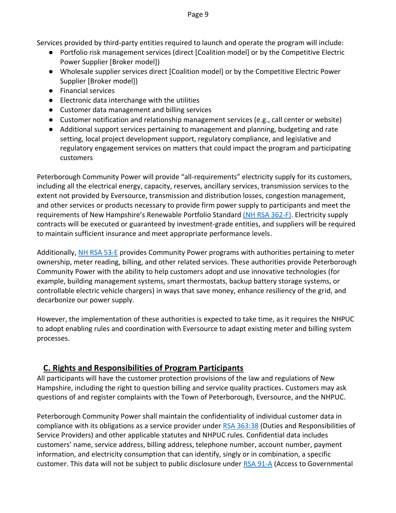Services provided by third-party entities required to launch and operate the program will include:

- Portfolio risk management services (direct [Coalition model] or by the Competitive Electric Power Supplier [Broker model])
- Wholesale supplier services direct [Coalition model] or by the Competitive Electric Power Supplier [Broker model])
- Financial services
- Electronic data interchange with the utilities
- Customer data management and billing services
- Customer notification and relationship management services (e.g., call center or website)
- Additional support services pertaining to management and planning, budgeting and rate setting, local project development support, regulatory compliance, and legislative and regulatory engagement services on matters that could impact the program and participating customers

Peterborough Community Power will provide "all-requirements" electricity supply for its customers, including all the electrical energy, capacity, reserves, ancillary services, transmission services to the extent not provided by Eversource, transmission and distribution losses, congestion management, and other services or products necessary to provide firm power supply to participants and meet the requirements of New Hampshire's Renewable Portfolio Standard [\(NH RSA 362-F\).](about:blank) Electricity supply contracts will be executed or guaranteed by investment-grade entities, and suppliers will be required to maintain sufficient insurance and meet appropriate performance levels.

Additionally, [NH RSA 53-E](about:blank) provides Community Power programs with authorities pertaining to meter ownership, meter reading, billing, and other related services. These authorities provide Peterborough Community Power with the ability to help customers adopt and use innovative technologies (for example, building management systems, smart thermostats, backup battery storage systems, or controllable electric vehicle chargers) in ways that save money, enhance resiliency of the grid, and decarbonize our power supply.

However, the implementation of these authorities is expected to take time, as it requires the NHPUC to adopt enabling rules and coordination with Eversource to adapt existing meter and billing system processes.

# <span id="page-8-0"></span>**C. Rights and Responsibilities of Program Participants**

All participants will have the customer protection provisions of the law and regulations of New Hampshire, including the right to question billing and service quality practices. Customers may ask questions of and register complaints with the Town of Peterborough, Eversource, and the NHPUC.

Peterborough Community Power shall maintain the confidentiality of individual customer data in compliance with its obligations as a service provider unde[r RSA 363:38](about:blank) (Duties and Responsibilities of Service Providers) and other applicable statutes and NHPUC rules. Confidential data includes customers' name, service address, billing address, telephone number, account number, payment information, and electricity consumption that can identify, singly or in combination, a specific customer. This data will not be subject to public disclosure under [RSA 91-A](about:blank) (Access to Governmental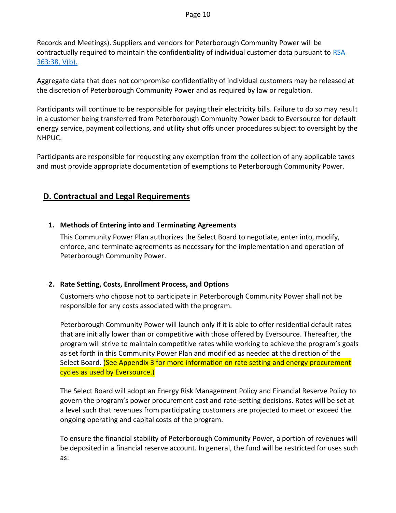#### Page 10

Records and Meetings). Suppliers and vendors for Peterborough Community Power will be contractually required to maintain the confidentiality of individual customer data pursuant to [RSA](about:blank)  [363:38, V\(b\).](about:blank)

Aggregate data that does not compromise confidentiality of individual customers may be released at the discretion of Peterborough Community Power and as required by law or regulation.

Participants will continue to be responsible for paying their electricity bills. Failure to do so may result in a customer being transferred from Peterborough Community Power back to Eversource for default energy service, payment collections, and utility shut offs under procedures subject to oversight by the NHPUC.

Participants are responsible for requesting any exemption from the collection of any applicable taxes and must provide appropriate documentation of exemptions to Peterborough Community Power.

## <span id="page-9-0"></span>**D. Contractual and Legal Requirements**

#### <span id="page-9-1"></span>**1. Methods of Entering into and Terminating Agreements**

This Community Power Plan authorizes the Select Board to negotiate, enter into, modify, enforce, and terminate agreements as necessary for the implementation and operation of Peterborough Community Power.

#### <span id="page-9-2"></span>**2. Rate Setting, Costs, Enrollment Process, and Options**

Customers who choose not to participate in Peterborough Community Power shall not be responsible for any costs associated with the program.

Peterborough Community Power will launch only if it is able to offer residential default rates that are initially lower than or competitive with those offered by Eversource. Thereafter, the program will strive to maintain competitive rates while working to achieve the program's goals as set forth in this Community Power Plan and modified as needed at the direction of the Select Board. (See Appendix 3 for more information on rate setting and energy procurement cycles as used by Eversource.)

The Select Board will adopt an Energy Risk Management Policy and Financial Reserve Policy to govern the program's power procurement cost and rate-setting decisions. Rates will be set at a level such that revenues from participating customers are projected to meet or exceed the ongoing operating and capital costs of the program.

To ensure the financial stability of Peterborough Community Power, a portion of revenues will be deposited in a financial reserve account. In general, the fund will be restricted for uses such as: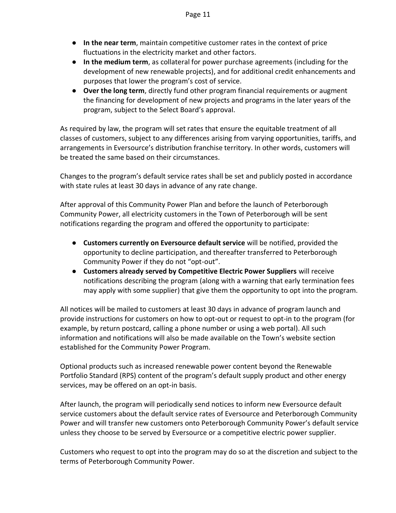- **In the near term**, maintain competitive customer rates in the context of price fluctuations in the electricity market and other factors.
- **In the medium term**, as collateral for power purchase agreements (including for the development of new renewable projects), and for additional credit enhancements and purposes that lower the program's cost of service.
- **Over the long term**, directly fund other program financial requirements or augment the financing for development of new projects and programs in the later years of the program, subject to the Select Board's approval.

As required by law, the program will set rates that ensure the equitable treatment of all classes of customers, subject to any differences arising from varying opportunities, tariffs, and arrangements in Eversource's distribution franchise territory. In other words, customers will be treated the same based on their circumstances.

Changes to the program's default service rates shall be set and publicly posted in accordance with state rules at least 30 days in advance of any rate change.

After approval of this Community Power Plan and before the launch of Peterborough Community Power, all electricity customers in the Town of Peterborough will be sent notifications regarding the program and offered the opportunity to participate:

- **Customers currently on Eversource default service** will be notified, provided the opportunity to decline participation, and thereafter transferred to Peterborough Community Power if they do not "opt-out".
- **Customers already served by Competitive Electric Power Suppliers** will receive notifications describing the program (along with a warning that early termination fees may apply with some supplier) that give them the opportunity to opt into the program.

All notices will be mailed to customers at least 30 days in advance of program launch and provide instructions for customers on how to opt-out or request to opt-in to the program (for example, by return postcard, calling a phone number or using a web portal). All such information and notifications will also be made available on the Town's website section established for the Community Power Program.

Optional products such as increased renewable power content beyond the Renewable Portfolio Standard (RPS) content of the program's default supply product and other energy services, may be offered on an opt-in basis.

After launch, the program will periodically send notices to inform new Eversource default service customers about the default service rates of Eversource and Peterborough Community Power and will transfer new customers onto Peterborough Community Power's default service unless they choose to be served by Eversource or a competitive electric power supplier.

Customers who request to opt into the program may do so at the discretion and subject to the terms of Peterborough Community Power.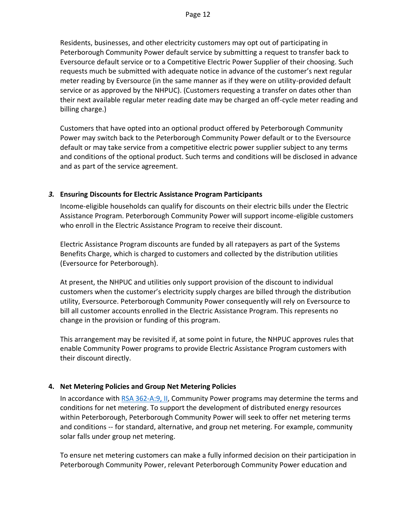Residents, businesses, and other electricity customers may opt out of participating in Peterborough Community Power default service by submitting a request to transfer back to Eversource default service or to a Competitive Electric Power Supplier of their choosing. Such requests much be submitted with adequate notice in advance of the customer's next regular meter reading by Eversource (in the same manner as if they were on utility-provided default service or as approved by the NHPUC). (Customers requesting a transfer on dates other than their next available regular meter reading date may be charged an off-cycle meter reading and billing charge.)

Customers that have opted into an optional product offered by Peterborough Community Power may switch back to the Peterborough Community Power default or to the Eversource default or may take service from a competitive electric power supplier subject to any terms and conditions of the optional product. Such terms and conditions will be disclosed in advance and as part of the service agreement.

#### <span id="page-11-0"></span>*3.* **Ensuring Discounts for Electric Assistance Program Participants**

Income-eligible households can qualify for discounts on their electric bills under the Electric Assistance Program. Peterborough Community Power will support income-eligible customers who enroll in the Electric Assistance Program to receive their discount.

Electric Assistance Program discounts are funded by all ratepayers as part of the Systems Benefits Charge, which is charged to customers and collected by the distribution utilities (Eversource for Peterborough).

At present, the NHPUC and utilities only support provision of the discount to individual customers when the customer's electricity supply charges are billed through the distribution utility, Eversource. Peterborough Community Power consequently will rely on Eversource to bill all customer accounts enrolled in the Electric Assistance Program. This represents no change in the provision or funding of this program.

This arrangement may be revisited if, at some point in future, the NHPUC approves rules that enable Community Power programs to provide Electric Assistance Program customers with their discount directly.

#### <span id="page-11-1"></span>**4. Net Metering Policies and Group Net Metering Policies**

In accordance with [RSA 362-A:9, II,](about:blank) Community Power programs may determine the terms and conditions for net metering. To support the development of distributed energy resources within Peterborough, Peterborough Community Power will seek to offer net metering terms and conditions -- for standard, alternative, and group net metering. For example, community solar falls under group net metering.

To ensure net metering customers can make a fully informed decision on their participation in Peterborough Community Power, relevant Peterborough Community Power education and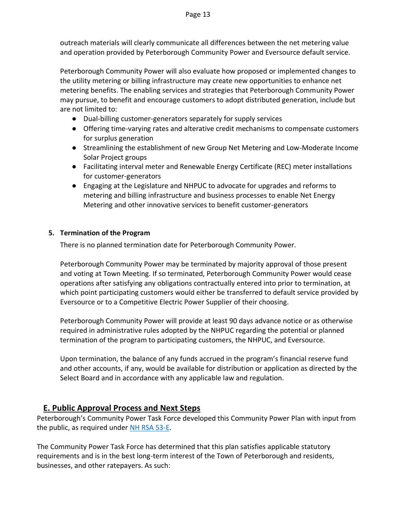outreach materials will clearly communicate all differences between the net metering value and operation provided by Peterborough Community Power and Eversource default service.

Peterborough Community Power will also evaluate how proposed or implemented changes to the utility metering or billing infrastructure may create new opportunities to enhance net metering benefits. The enabling services and strategies that Peterborough Community Power may pursue, to benefit and encourage customers to adopt distributed generation, include but are not limited to:

- Dual-billing customer-generators separately for supply services
- Offering time-varying rates and alterative credit mechanisms to compensate customers for surplus generation
- Streamlining the establishment of new Group Net Metering and Low-Moderate Income Solar Project groups
- Facilitating interval meter and Renewable Energy Certificate (REC) meter installations for customer-generators
- Engaging at the Legislature and NHPUC to advocate for upgrades and reforms to metering and billing infrastructure and business processes to enable Net Energy Metering and other innovative services to benefit customer-generators

#### <span id="page-12-0"></span>**5. Termination of the Program**

There is no planned termination date for Peterborough Community Power.

Peterborough Community Power may be terminated by majority approval of those present and voting at Town Meeting. If so terminated, Peterborough Community Power would cease operations after satisfying any obligations contractually entered into prior to termination, at which point participating customers would either be transferred to default service provided by Eversource or to a Competitive Electric Power Supplier of their choosing.

Peterborough Community Power will provide at least 90 days advance notice or as otherwise required in administrative rules adopted by the NHPUC regarding the potential or planned termination of the program to participating customers, the NHPUC, and Eversource.

Upon termination, the balance of any funds accrued in the program's financial reserve fund and other accounts, if any, would be available for distribution or application as directed by the Select Board and in accordance with any applicable law and regulation.

## <span id="page-12-1"></span>**E. Public Approval Process and Next Steps**

Peterborough's Community Power Task Force developed this Community Power Plan with input from the public, as required under [NH RSA 53-E.](about:blank)

The Community Power Task Force has determined that this plan satisfies applicable statutory requirements and is in the best long-term interest of the Town of Peterborough and residents, businesses, and other ratepayers. As such: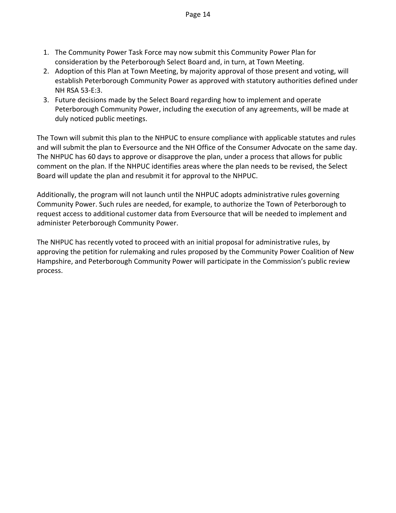- 1. The Community Power Task Force may now submit this Community Power Plan for consideration by the Peterborough Select Board and, in turn, at Town Meeting.
- 2. Adoption of this Plan at Town Meeting, by majority approval of those present and voting, will establish Peterborough Community Power as approved with statutory authorities defined under NH RSA 53-E:3.
- 3. Future decisions made by the Select Board regarding how to implement and operate Peterborough Community Power, including the execution of any agreements, will be made at duly noticed public meetings.

The Town will submit this plan to the NHPUC to ensure compliance with applicable statutes and rules and will submit the plan to Eversource and the NH Office of the Consumer Advocate on the same day. The NHPUC has 60 days to approve or disapprove the plan, under a process that allows for public comment on the plan. If the NHPUC identifies areas where the plan needs to be revised, the Select Board will update the plan and resubmit it for approval to the NHPUC.

Additionally, the program will not launch until the NHPUC adopts administrative rules governing Community Power. Such rules are needed, for example, to authorize the Town of Peterborough to request access to additional customer data from Eversource that will be needed to implement and administer Peterborough Community Power.

The NHPUC has recently voted to proceed with an initial proposal for administrative rules, by approving the petition for rulemaking and rules proposed by the Community Power Coalition of New Hampshire, and Peterborough Community Power will participate in the Commission's public review process.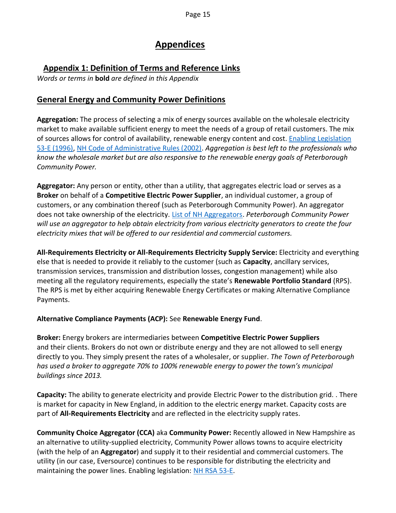# **Appendices**

# <span id="page-14-1"></span><span id="page-14-0"></span>**Appendix 1: Definition of Terms and Reference Links**

*Words or terms in* **bold** *are defined in this Appendix*

# **General Energy and Community Power Definitions**

**Aggregation:** The process of selecting a mix of energy sources available on the wholesale electricity market to make available sufficient energy to meet the needs of a group of retail customers. The mix of sources allows for control of availability, renewable energy content and cost[. Enabling Legislation](about:blank)  [53-E \(1996\), NH Code of Administrative Rules \(2002\).](about:blank) *Aggregation is best left to the professionals who know the wholesale market but are also responsive to the renewable energy goals of Peterborough Community Power.*

**Aggregator:** Any person or entity, other than a utility, that aggregates electric load or serves as a **Broker** on behalf of a **Competitive Electric Power Supplier**, an individual customer, a group of customers, or any combination thereof (such as Peterborough Community Power). An aggregator does not take ownership of the electricity. [List of NH Aggregators.](about:blank) *Peterborough Community Power will use an aggregator to help obtain electricity from various electricity generators to create the four electricity mixes that will be offered to our residential and commercial customers.*

**All-Requirements Electricity or All-Requirements Electricity Supply Service:** Electricity and everything else that is needed to provide it reliably to the customer (such as **Capacity**, ancillary services, transmission services, transmission and distribution losses, congestion management) while also meeting all the regulatory requirements, especially the state's **Renewable Portfolio Standard** (RPS). The RPS is met by either acquiring Renewable Energy Certificates or making Alternative Compliance Payments.

#### **Alternative Compliance Payments (ACP):** See **Renewable Energy Fund**.

**Broker:** Energy brokers are intermediaries between **Competitive Electric Power Suppliers** and their clients. Brokers do not own or distribute energy and they are not allowed to sell energy directly to you. They simply present the rates of a wholesaler, or supplier. *The Town of Peterborough has used a broker to aggregate 70% to 100% renewable energy to power the town's municipal buildings since 2013.*

**Capacity:** The ability to generate electricity and provide Electric Power to the distribution grid. . There is market for capacity in New England, in addition to the electric energy market. Capacity costs are part of **All-Requirements Electricity** and are reflected in the electricity supply rates.

**Community Choice Aggregator (CCA)** aka **Community Power:** Recently allowed in New Hampshire as an alternative to utility-supplied electricity, Community Power allows towns to acquire electricity (with the help of an **Aggregator**) and supply it to their residential and commercial customers. The utility (in our case, Eversource) continues to be responsible for distributing the electricity and maintaining the power lines. Enabling legislation: [NH RSA 53-E.](about:blank)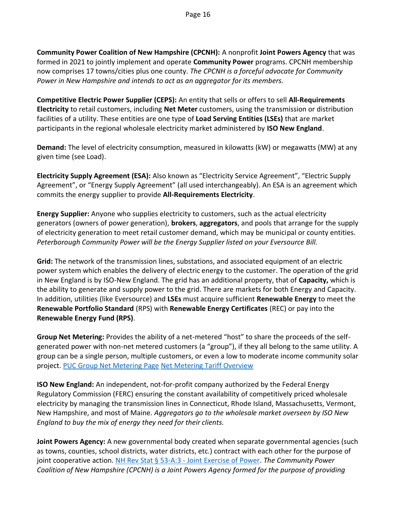**Community Power Coalition of New Hampshire (CPCNH):** A nonprofit **Joint Powers Agency** that was formed in 2021 to jointly implement and operate **Community Power** programs. CPCNH membership now comprises 17 towns/cities plus one county. *The CPCNH is a forceful advocate for Community Power in New Hampshire and intends to act as an aggregator for its members.*

**Competitive Electric Power Supplier (CEPS):** An entity that sells or offers to sell **All-Requirements Electricity** to retail customers, including **Net Meter** customers, using the transmission or distribution facilities of a utility. These entities are one type of **Load Serving Entities (LSEs)** that are market participants in the regional wholesale electricity market administered by **ISO New England**.

**Demand:** The level of electricity consumption, measured in kilowatts (kW) or megawatts (MW) at any given time (see Load).

**Electricity Supply Agreement (ESA):** Also known as "Electricity Service Agreement", "Electric Supply Agreement", or "Energy Supply Agreement" (all used interchangeably). An ESA is an agreement which commits the energy supplier to provide **All-Requirements Electricity**.

**Energy Supplier:** Anyone who supplies electricity to customers, such as the actual electricity generators (owners of power generation), **brokers**, **aggregators**, and pools that arrange for the supply of electricity generation to meet retail customer demand, which may be municipal or county entities. *Peterborough Community Power will be the Energy Supplier listed on your Eversource Bill.*

**Grid:** The network of the transmission lines, substations, and associated equipment of an electric power system which enables the delivery of electric energy to the customer. The operation of the grid in New England is by ISO-New England. The grid has an additional property, that of **Capacity,** which is the ability to generate and supply power to the grid. There are markets for both Energy and Capacity. In addition, utilities (like Eversource) and **LSEs** must acquire sufficient **Renewable Energy** to meet the **Renewable Portfolio Standard** (RPS) with **Renewable Energy Certificates** (REC) or pay into the **Renewable Energy Fund (RPS)**.

**Group Net Metering:** Provides the ability of a net-metered "host" to share the proceeds of the selfgenerated power with non-net metered customers (a "group"), if they all belong to the same utility. A group can be a single person, multiple customers, or even a low to moderate income community solar project. [PUC Group Net Metering Page](about:blank) [Net Metering Tariff Overview](about:blank)

**ISO New England:** An independent, not-for-profit company authorized by the Federal Energy Regulatory Commission (FERC) ensuring the constant availability of competitively priced wholesale electricity by managing the transmission lines in Connecticut, Rhode Island, Massachusetts, Vermont, New Hampshire, and most of Maine. *Aggregators go to the wholesale market overseen by ISO New England to buy the mix of energy they need for their clients.*

**Joint Powers Agency:** A new governmental body created when separate governmental agencies (such as towns, counties, school districts, water districts, etc.) contract with each other for the purpose of joint cooperative action. NH Rev Stat § 53-A:3 - [Joint Exercise of Power.](about:blank) *The Community Power Coalition of New Hampshire (CPCNH) is a Joint Powers Agency formed for the purpose of providing*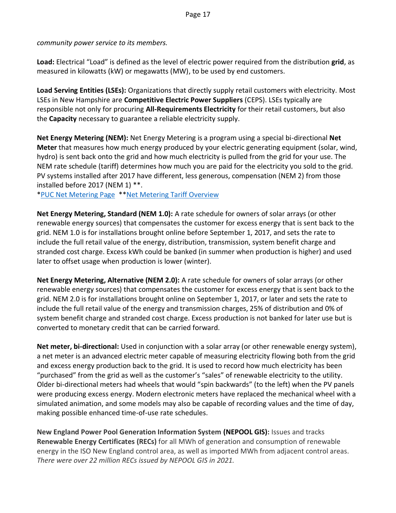*community power service to its members.*

**Load:** Electrical "Load" is defined as the level of electric power required from the distribution **grid**, as measured in kilowatts (kW) or megawatts (MW), to be used by end customers.

**Load Serving Entities (LSEs):** Organizations that directly supply retail customers with electricity. Most LSEs in New Hampshire are **Competitive Electric Power Suppliers** (CEPS). LSEs typically are responsible not only for procuring **All-Requirements Electricity** for their retail customers, but also the **Capacity** necessary to guarantee a reliable electricity supply.

**Net Energy Metering (NEM):** Net Energy Metering is a program using a special bi-directional **Net Meter** that measures how much energy produced by your electric generating equipment (solar, wind, hydro) is sent back onto the grid and how much electricity is pulled from the grid for your use. The NEM rate schedule (tariff) determines how much you are paid for the electricity you sold to the grid. PV systems installed after 2017 have different, less generous, compensation (NEM 2) from those installed before 2017 (NEM 1) \*\*.

[\\*PUC Net Metering Page](about:blank) \*[\\*Net Metering Tariff Overview](about:blank)

**Net Energy Metering, Standard (NEM 1.0):** A rate schedule for owners of solar arrays (or other renewable energy sources) that compensates the customer for excess energy that is sent back to the grid. NEM 1.0 is for installations brought online before September 1, 2017, and sets the rate to include the full retail value of the energy, distribution, transmission, system benefit charge and stranded cost charge. Excess kWh could be banked (in summer when production is higher) and used later to offset usage when production is lower (winter).

**Net Energy Metering, Alternative (NEM 2.0):** A rate schedule for owners of solar arrays (or other renewable energy sources) that compensates the customer for excess energy that is sent back to the grid. NEM 2.0 is for installations brought online on September 1, 2017, or later and sets the rate to include the full retail value of the energy and transmission charges, 25% of distribution and 0% of system benefit charge and stranded cost charge. Excess production is not banked for later use but is converted to monetary credit that can be carried forward.

**Net meter, bi-directional:** Used in conjunction with a solar array (or other renewable energy system), a net meter is an advanced electric meter capable of measuring electricity flowing both from the grid and excess energy production back to the grid. It is used to record how much electricity has been "purchased" from the grid as well as the customer's "sales" of renewable electricity to the utility. Older bi-directional meters had wheels that would "spin backwards" (to the left) when the PV panels were producing excess energy. Modern electronic meters have replaced the mechanical wheel with a simulated animation, and some models may also be capable of recording values and the time of day, making possible enhanced time-of-use rate schedules.

**New England Power Pool Generation Information System (NEPOOL GIS):** Issues and tracks **Renewable Energy Certificates (RECs)** for all MWh of generation and consumption of renewable energy in the ISO New England control area, as well as imported MWh from adjacent control areas. *There were over 22 million RECs issued by NEPOOL GIS in 2021.*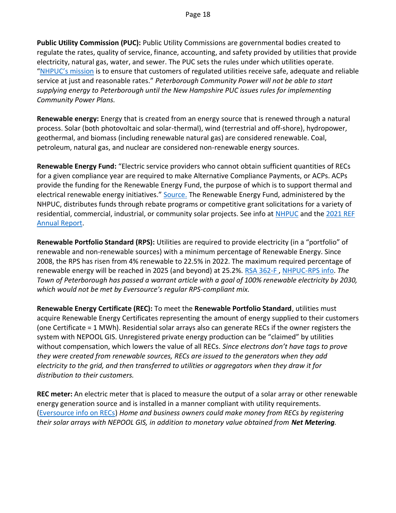**Public Utility Commission (PUC):** Public Utility Commissions are governmental bodies created to regulate the rates, quality of service, finance, accounting, and safety provided by utilities that provide electricity, natural gas, water, and sewer. The PUC sets the rules under which utilities operate. ["NHPUC's mission](about:blank) is to ensure that customers of regulated utilities receive safe, adequate and reliable service at just and reasonable rates." *Peterborough Community Power will not be able to start supplying energy to Peterborough until the New Hampshire PUC issues rules for implementing Community Power Plans.*

**Renewable energy:** Energy that is created from an energy source that is renewed through a natural process. Solar (both photovoltaic and solar-thermal), wind (terrestrial and off-shore), hydropower, geothermal, and biomass (including renewable natural gas) are considered renewable. Coal, petroleum, natural gas, and nuclear are considered non-renewable energy sources.

**Renewable Energy Fund:** "Electric service providers who cannot obtain sufficient quantities of RECs for a given compliance year are required to make Alternative Compliance Payments, or ACPs. ACPs provide the funding for the Renewable Energy Fund, the purpose of which is to support thermal and electrical renewable energy initiatives." [Source.](about:blank) The Renewable Energy Fund, administered by the NHPUC, distributes funds through rebate programs or competitive grant solicitations for a variety of residential, commercial, industrial, or community solar projects. See info a[t NHPUC](about:blank) and the [2021 REF](about:blank)  [Annual Report.](about:blank)

**Renewable Portfolio Standard (RPS):** Utilities are required to provide electricity (in a "portfolio" of renewable and non-renewable sources) with a minimum percentage of Renewable Energy. Since 2008, the RPS has risen from 4% renewable to 22.5% in 2022. The maximum required percentage of renewable energy will be reached in 2025 (and beyond) at 25.2%. [RSA 362-F , NHPUC-RPS info.](about:blank) *The Town of Peterborough has passed a warrant article with a goal of 100% renewable electricity by 2030, which would not be met by Eversource's regular RPS-compliant mix.*

**Renewable Energy Certificate (REC):** To meet the **Renewable Portfolio Standard**, utilities must acquire Renewable Energy Certificates representing the amount of energy supplied to their customers (one Certificate = 1 MWh). Residential solar arrays also can generate RECs if the owner registers the system with NEPOOL GIS. Unregistered private energy production can be "claimed" by utilities without compensation, which lowers the value of all RECs. *Since electrons don't have tags to prove they were created from renewable sources, RECs are issued to the generators when they add electricity to the grid, and then transferred to utilities or aggregators when they draw it for distribution to their customers.*

**REC meter:** An electric meter that is placed to measure the output of a solar array or other renewable energy generation source and is installed in a manner compliant with utility requirements. [\(Eversource info on RECs\)](about:blank) *Home and business owners could make money from RECs by registering their solar arrays with NEPOOL GIS, in addition to monetary value obtained from Net Metering.*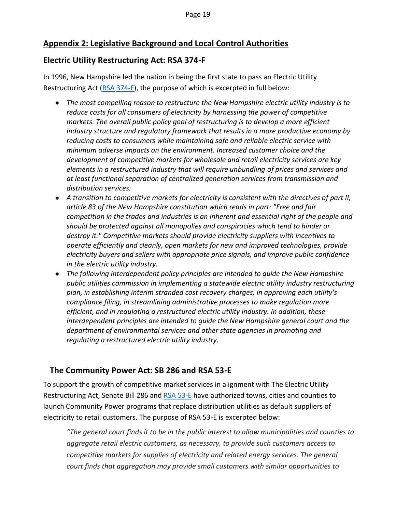# <span id="page-18-0"></span>**Appendix 2: Legislative Background and Local Control Authorities**

### **Electric Utility Restructuring Act: RSA 374-F**

In 1996, New Hampshire led the nation in being the first state to pass an Electric Utility Restructuring Act [\(RSA](about:blank) [374-F\)](about:blank), the purpose of which is excerpted in full below:

- *The most compelling reason to restructure the New Hampshire electric utility industry is to reduce costs for all consumers of electricity by harnessing the power of competitive markets. The overall public policy goal of restructuring is to develop a more efficient industry structure and regulatory framework that results in a more productive economy by reducing costs to consumers while maintaining safe and reliable electric service with minimum adverse impacts on the environment. Increased customer choice and the development of competitive markets for wholesale and retail electricity services are key elements in a restructured industry that will require unbundling of prices and services and at least functional separation of centralized generation services from transmission and distribution services.*
- *A transition to competitive markets for electricity is consistent with the directives of part II, article 83 of the New Hampshire constitution which reads in part: "Free and fair competition in the trades and industries is an inherent and essential right of the people and should be protected against all monopolies and conspiracies which tend to hinder or destroy it." Competitive markets should provide electricity suppliers with incentives to operate efficiently and cleanly, open markets for new and improved technologies, provide electricity buyers and sellers with appropriate price signals, and improve public confidence in the electric utility industry.*
- *The following interdependent policy principles are intended to guide the New Hampshire public utilities commission in implementing a statewide electric utility industry restructuring plan, in establishing interim stranded cost recovery charges, in approving each utility's compliance filing, in streamlining administrative processes to make regulation more efficient, and in regulating a restructured electric utility industry. In addition, these interdependent principles are intended to guide the New Hampshire general court and the department of environmental services and other state agencies in promoting and regulating a restructured electric utility industry.*

## **The Community Power Act: SB 286 and RSA 53-E**

To support the growth of competitive market services in alignment with The Electric Utility Restructuring Act, Senate Bill 286 and [RSA 53-E](about:blank) have authorized towns, cities and counties to launch Community Power programs that replace distribution utilities as default suppliers of electricity to retail customers. The purpose of RSA 53-E is excerpted below:

*"The general court finds it to be in the public interest to allow municipalities and counties to aggregate retail electric customers, as necessary, to provide such customers access to competitive markets for supplies of electricity and related energy services. The general court finds that aggregation may provide small customers with similar opportunities to*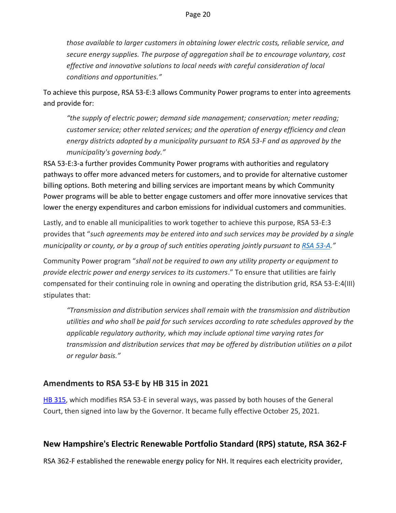*those available to larger customers in obtaining lower electric costs, reliable service, and secure energy supplies. The purpose of aggregation shall be to encourage voluntary, cost effective and innovative solutions to local needs with careful consideration of local conditions and opportunities."*

To achieve this purpose, RSA 53-E:3 allows Community Power programs to enter into agreements and provide for:

*"the supply of electric power; demand side management; conservation; meter reading; customer service; other related services; and the operation of energy efficiency and clean energy districts adopted by a municipality pursuant to RSA 53-F and as approved by the municipality's governing body."*

RSA 53-E:3-a further provides Community Power programs with authorities and regulatory pathways to offer more advanced meters for customers, and to provide for alternative customer billing options. Both metering and billing services are important means by which Community Power programs will be able to better engage customers and offer more innovative services that lower the energy expenditures and carbon emissions for individual customers and communities.

Lastly, and to enable all municipalities to work together to achieve this purpose, RSA 53-E:3 provides that "*such agreements may be entered into and such services may be provided by a single municipality or county, or by a group of such entities operating jointly pursuant to [RSA 53-A](about:blank)."*

Community Power program "*shall not be required to own any utility property or equipment to provide electric power and energy services to its customers*." To ensure that utilities are fairly compensated for their continuing role in owning and operating the distribution grid, RSA 53-E:4(III) stipulates that:

*"Transmission and distribution services shall remain with the transmission and distribution utilities and who shall be paid for such services according to rate schedules approved by the applicable regulatory authority, which may include optional time varying rates for transmission and distribution services that may be offered by distribution utilities on a pilot or regular basis."*

#### **Amendments to RSA 53-E by HB 315 in 2021**

[HB 315,](about:blank) which modifies RSA 53-E in several ways, was passed by both houses of the General Court, then signed into law by the Governor. It became fully effective October 25, 2021.

# **New Hampshire's Electric Renewable Portfolio Standard (RPS) statute, RSA 362-F**

RSA 362-F established the renewable energy policy for NH. It requires each electricity provider,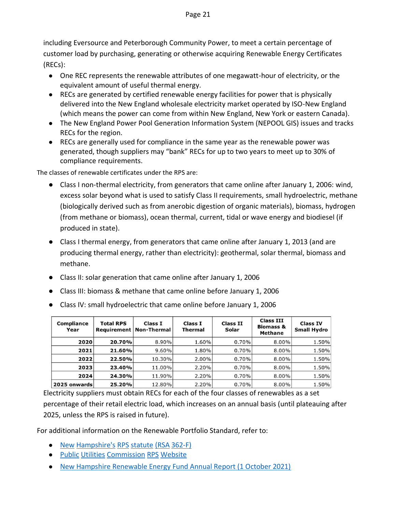including Eversource and Peterborough Community Power, to meet a certain percentage of customer load by purchasing, generating or otherwise acquiring Renewable Energy Certificates (RECs):

- One REC represents the renewable attributes of one megawatt-hour of electricity, or the equivalent amount of useful thermal energy.
- RECs are generated by certified renewable energy facilities for power that is physically delivered into the New England wholesale electricity market operated by ISO-New England (which means the power can come from within New England, New York or eastern Canada).
- The New England Power Pool Generation Information System (NEPOOL GIS) issues and tracks RECs for the region.
- RECs are generally used for compliance in the same year as the renewable power was generated, though suppliers may "bank" RECs for up to two years to meet up to 30% of compliance requirements.

The classes of renewable certificates under the RPS are:

- Class I non-thermal electricity, from generators that came online after January 1, 2006: wind, excess solar beyond what is used to satisfy Class II requirements, small hydroelectric, methane (biologically derived such as from anerobic digestion of organic materials), biomass, hydrogen (from methane or biomass), ocean thermal, current, tidal or wave energy and biodiesel (if produced in state).
- Class I thermal energy, from generators that came online after January 1, 2013 (and are producing thermal energy, rather than electricity): geothermal, solar thermal, biomass and methane.
- Class II: solar generation that came online after January 1, 2006
- Class III: biomass & methane that came online before January 1, 2006
- Class IV: small hydroelectric that came online before January 1, 2006

| <b>Compliance</b><br>Year | <b>Total RPS</b><br><b>Requirement</b> | Class I<br><b>Non-Thermal</b> | Class I<br>Thermal | <b>Class II</b><br>Solar | <b>Class III</b><br><b>Biomass &amp;</b><br><b>Methane</b> | <b>Class IV</b><br><b>Small Hydro</b> |
|---------------------------|----------------------------------------|-------------------------------|--------------------|--------------------------|------------------------------------------------------------|---------------------------------------|
| 2020                      | 20.70%                                 | 8.90%                         | 1.60%              | 0.70%                    | 8.00%                                                      | 1.50%                                 |
| 2021                      | 21.60%                                 | 9.60%                         | 1.80%              | 0.70%                    | 8.00%                                                      | 1.50%                                 |
| 2022                      | 22.50%                                 | 10.30%                        | 2.00%              | 0.70%                    | $8.00\%$                                                   | 1.50%                                 |
| 2023                      | 23.40%                                 | 11.00%                        | 2.20%              | 0.70%                    | 8.00%                                                      | 1.50%                                 |
| 2024                      | 24.30%                                 | 11.90%                        | 2.20%              | 0.70%                    | 8.00%                                                      | 1.50%                                 |
| 2025 onwards              | 25.20%                                 | 12.80%                        | 2.20%              | 0.70%                    | 8.00%                                                      | 1.50%                                 |

Electricity suppliers must obtain RECs for each of the four classes of renewables as a set percentage of their retail electric load, which increases on an annual basis (until plateauing after 2025, unless the RPS is raised in future).

For additional information on the Renewable Portfolio Standard, refer to:

- [New](about:blank) [Hampshire's](about:blank) [RPS](about:blank) [statute](about:blank) [\(RSA](about:blank) [362-F\)](about:blank)
- [Public](about:blank) [Utilities](about:blank) [Commission](about:blank) [RPS](about:blank) [Website](about:blank)
- [New Hampshire Renewable Energy Fund Annual Report \(1 October 2021\)](about:blank)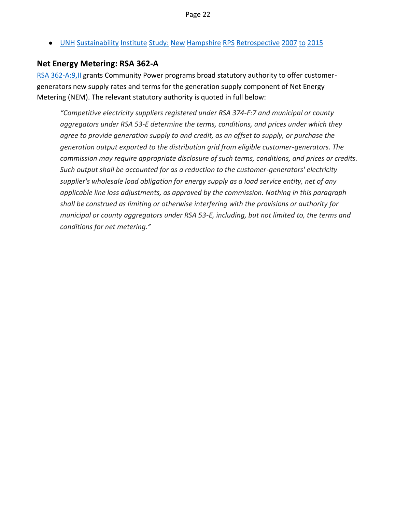● [UNH](about:blank) [Sustainability](about:blank) [Institute](about:blank) [Study:](about:blank) [New](about:blank) [Hampshire](about:blank) [RPS](about:blank) [Retrospective](about:blank) [2007](about:blank) [to](about:blank) [2015](about:blank)

#### **Net Energy Metering: RSA 362-A**

[RSA 362-A:9,II](about:blank) [g](about:blank)rants Community Power programs broad statutory authority to offer customergenerators new supply rates and terms for the generation supply component of Net Energy Metering (NEM). The relevant statutory authority is quoted in full below:

*"Competitive electricity suppliers registered under RSA 374-F:7 and municipal or county aggregators under RSA 53-E determine the terms, conditions, and prices under which they agree to provide generation supply to and credit, as an offset to supply, or purchase the generation output exported to the distribution grid from eligible customer-generators. The commission may require appropriate disclosure of such terms, conditions, and prices or credits. Such output shall be accounted for as a reduction to the customer-generators' electricity supplier's wholesale load obligation for energy supply as a load service entity, net of any applicable line loss adjustments, as approved by the commission. Nothing in this paragraph shall be construed as limiting or otherwise interfering with the provisions or authority for municipal or county aggregators under RSA 53-E, including, but not limited to, the terms and conditions for net metering."*